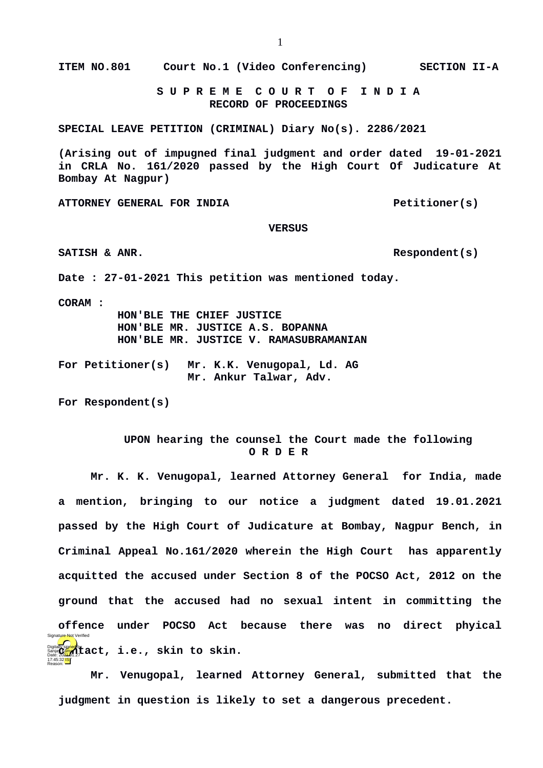**ITEM NO.801 Court No.1 (Video Conferencing) SECTION II-A**

 **S U P R E M E C O U R T O F I N D I A RECORD OF PROCEEDINGS**

**SPECIAL LEAVE PETITION (CRIMINAL) Diary No(s). 2286/2021**

**(Arising out of impugned final judgment and order dated 19-01-2021 in CRLA No. 161/2020 passed by the High Court Of Judicature At Bombay At Nagpur)**

ATTORNEY GENERAL FOR INDIA **Petitioner(s)** 

## **VERSUS**

SATISH & ANR. **Respondent(s)** 

**Date : 27-01-2021 This petition was mentioned today.**

**CORAM :** 

17:45:32 IST Reason:

 **HON'BLE THE CHIEF JUSTICE HON'BLE MR. JUSTICE A.S. BOPANNA HON'BLE MR. JUSTICE V. RAMASUBRAMANIAN**

**For Petitioner(s) Mr. K.K. Venugopal, Ld. AG Mr. Ankur Talwar, Adv.** 

**For Respondent(s)**

## **UPON hearing the counsel the Court made the following O R D E R**

**Mr. K. K. Venugopal, learned Attorney General for India, made a mention, bringing to our notice a judgment dated 19.01.2021 passed by the High Court of Judicature at Bombay, Nagpur Bench, in Criminal Appeal No.161/2020 wherein the High Court has apparently acquitted the accused under Section 8 of the POCSO Act, 2012 on the ground that the accused had no sexual intent in committing the offence under POCSO Act because there was no direct phyical** Digitally sign<mark>ed</mark> by **tact, i.e., skin to skin.**<br>Date: 202<del>1.</del>01.27 ature Not Verif

**Mr. Venugopal, learned Attorney General, submitted that the judgment in question is likely to set a dangerous precedent.**